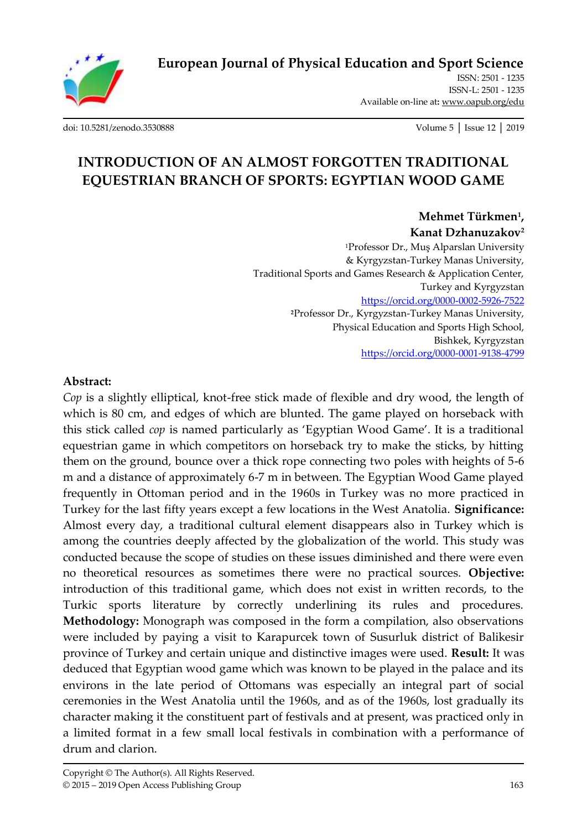

**[European Journal of Physical Education and Sport Science](http://oapub.org/edu/index.php/ejep)**

ISSN: 2501 - 1235 ISSN-L: 2501 - 1235 Available on-line at**:** [www.oapub.org/edu](http://www.oapub.org/edu)

[doi: 10.5281/zenodo.3530888](http://dx.doi.org/10.5281/zenodo.3530888) Volume 5 │ Issue 12 │ 2019

# **INTRODUCTION OF AN ALMOST FORGOTTEN TRADITIONAL EQUESTRIAN BRANCH OF SPORTS: EGYPTIAN WOOD GAME**

**Mehmet Türkmen<sup>1</sup> , Kanat Dzhanuzakov<sup>2</sup>** <sup>1</sup>Professor Dr., Muş Alparslan University & Kyrgyzstan-Turkey Manas University, Traditional Sports and Games Research & Application Center,

Turkey and Kyrgyzstan <https://orcid.org/0000-0002-5926-7522> **<sup>2</sup>**Professor Dr., Kyrgyzstan-Turkey Manas University, Physical Education and Sports High School, Bishkek, Kyrgyzstan <https://orcid.org/0000-0001-9138-4799>

#### **Abstract:**

*Cop* is a slightly elliptical, knot-free stick made of flexible and dry wood, the length of which is 80 cm, and edges of which are blunted. The game played on horseback with this stick called *cop* is named particularly as 'Egyptian Wood Game'. It is a traditional equestrian game in which competitors on horseback try to make the sticks, by hitting them on the ground, bounce over a thick rope connecting two poles with heights of 5-6 m and a distance of approximately 6-7 m in between. The Egyptian Wood Game played frequently in Ottoman period and in the 1960s in Turkey was no more practiced in Turkey for the last fifty years except a few locations in the West Anatolia. **Significance:** Almost every day, a traditional cultural element disappears also in Turkey which is among the countries deeply affected by the globalization of the world. This study was conducted because the scope of studies on these issues diminished and there were even no theoretical resources as sometimes there were no practical sources. **Objective:** introduction of this traditional game, which does not exist in written records, to the Turkic sports literature by correctly underlining its rules and procedures. **Methodology:** Monograph was composed in the form a compilation, also observations were included by paying a visit to Karapurcek town of Susurluk district of Balikesir province of Turkey and certain unique and distinctive images were used. **Result:** It was deduced that Egyptian wood game which was known to be played in the palace and its environs in the late period of Ottomans was especially an integral part of social ceremonies in the West Anatolia until the 1960s, and as of the 1960s, lost gradually its character making it the constituent part of festivals and at present, was practiced only in a limited format in a few small local festivals in combination with a performance of drum and clarion.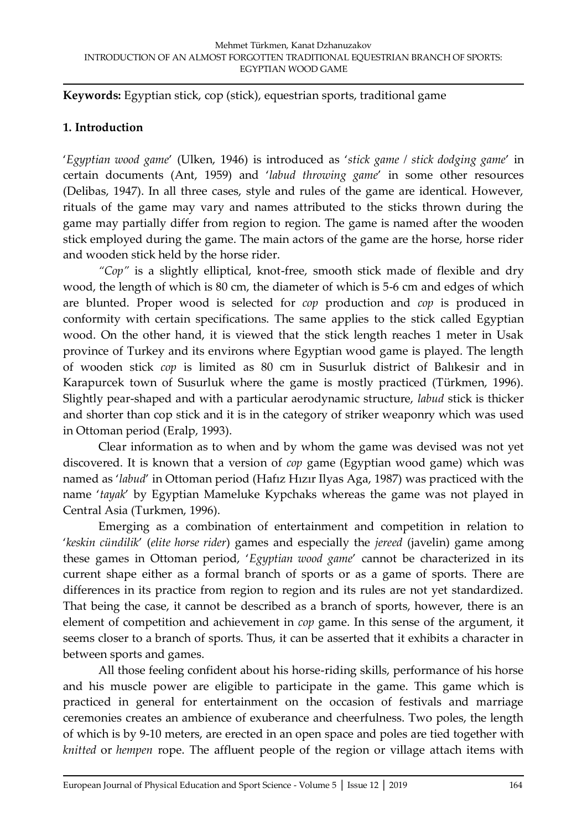**Keywords:** Egyptian stick, cop (stick), equestrian sports, traditional game

## **1. Introduction**

'*Egyptian wood game*' (Ulken, 1946) is introduced as '*stick game / stick dodging game*' in certain documents (Ant, 1959) and '*labud throwing game*' in some other resources (Delibas, 1947). In all three cases, style and rules of the game are identical. However, rituals of the game may vary and names attributed to the sticks thrown during the game may partially differ from region to region. The game is named after the wooden stick employed during the game. The main actors of the game are the horse, horse rider and wooden stick held by the horse rider.

*"Cop"* is a slightly elliptical, knot-free, smooth stick made of flexible and dry wood, the length of which is 80 cm, the diameter of which is 5-6 cm and edges of which are blunted. Proper wood is selected for *cop* production and *cop* is produced in conformity with certain specifications. The same applies to the stick called Egyptian wood. On the other hand, it is viewed that the stick length reaches 1 meter in Usak province of Turkey and its environs where Egyptian wood game is played. The length of wooden stick *cop* is limited as 80 cm in Susurluk district of Balıkesir and in Karapurcek town of Susurluk where the game is mostly practiced (Türkmen, 1996). Slightly pear-shaped and with a particular aerodynamic structure, *labud* stick is thicker and shorter than cop stick and it is in the category of striker weaponry which was used in Ottoman period (Eralp, 1993).

Clear information as to when and by whom the game was devised was not yet discovered. It is known that a version of *cop* game (Egyptian wood game) which was named as '*labud*' in Ottoman period (Hafız Hızır Ilyas Aga, 1987) was practiced with the name '*tayak*' by Egyptian Mameluke Kypchaks whereas the game was not played in Central Asia (Turkmen, 1996).

Emerging as a combination of entertainment and competition in relation to '*keskin cündilik*' (*elite horse rider*) games and especially the *jereed* (javelin) game among these games in Ottoman period, '*Egyptian wood game*' cannot be characterized in its current shape either as a formal branch of sports or as a game of sports. There are differences in its practice from region to region and its rules are not yet standardized. That being the case, it cannot be described as a branch of sports, however, there is an element of competition and achievement in *cop* game. In this sense of the argument, it seems closer to a branch of sports. Thus, it can be asserted that it exhibits a character in between sports and games.

All those feeling confident about his horse-riding skills, performance of his horse and his muscle power are eligible to participate in the game. This game which is practiced in general for entertainment on the occasion of festivals and marriage ceremonies creates an ambience of exuberance and cheerfulness. Two poles, the length of which is by 9-10 meters, are erected in an open space and poles are tied together with *knitted* or *hempen* rope. The affluent people of the region or village attach items with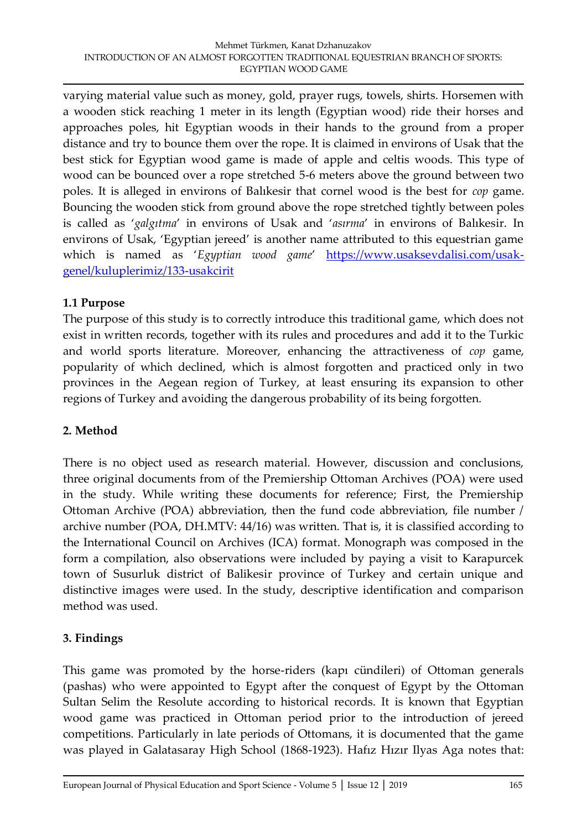varying material value such as money, gold, prayer rugs, towels, shirts. Horsemen with a wooden stick reaching 1 meter in its length (Egyptian wood) ride their horses and approaches poles, hit Egyptian woods in their hands to the ground from a proper distance and try to bounce them over the rope. It is claimed in environs of Usak that the best stick for Egyptian wood game is made of apple and celtis woods. This type of wood can be bounced over a rope stretched 5-6 meters above the ground between two poles. It is alleged in environs of Balıkesir that cornel wood is the best for *cop* game. Bouncing the wooden stick from ground above the rope stretched tightly between poles is called as '*galgıtma*' in environs of Usak and '*asırma*' in environs of Balıkesir. In environs of Usak, 'Egyptian jereed' is another name attributed to this equestrian game which is named as '*Egyptian wood game*' [https://www.usaksevdalisi.com/usak](https://www.usaksevdalisi.com/usak-genel/kuluplerimiz/133-usakcirit)[genel/kuluplerimiz/133-usakcirit](https://www.usaksevdalisi.com/usak-genel/kuluplerimiz/133-usakcirit)

### **1.1 Purpose**

The purpose of this study is to correctly introduce this traditional game, which does not exist in written records, together with its rules and procedures and add it to the Turkic and world sports literature. Moreover, enhancing the attractiveness of *cop* game, popularity of which declined, which is almost forgotten and practiced only in two provinces in the Aegean region of Turkey, at least ensuring its expansion to other regions of Turkey and avoiding the dangerous probability of its being forgotten.

# **2. Method**

There is no object used as research material. However, discussion and conclusions, three original documents from of the Premiership Ottoman Archives (POA) were used in the study. While writing these documents for reference; First, the Premiership Ottoman Archive (POA) abbreviation, then the fund code abbreviation, file number / archive number (POA, DH.MTV: 44/16) was written. That is, it is classified according to the International Council on Archives (ICA) format. Monograph was composed in the form a compilation, also observations were included by paying a visit to Karapurcek town of Susurluk district of Balikesir province of Turkey and certain unique and distinctive images were used. In the study, descriptive identification and comparison method was used.

# **3. Findings**

This game was promoted by the horse-riders (kapı cündileri) of Ottoman generals (pashas) who were appointed to Egypt after the conquest of Egypt by the Ottoman Sultan Selim the Resolute according to historical records. It is known that Egyptian wood game was practiced in Ottoman period prior to the introduction of jereed competitions. Particularly in late periods of Ottomans, it is documented that the game was played in Galatasaray High School (1868-1923). Hafız Hızır Ilyas Aga notes that: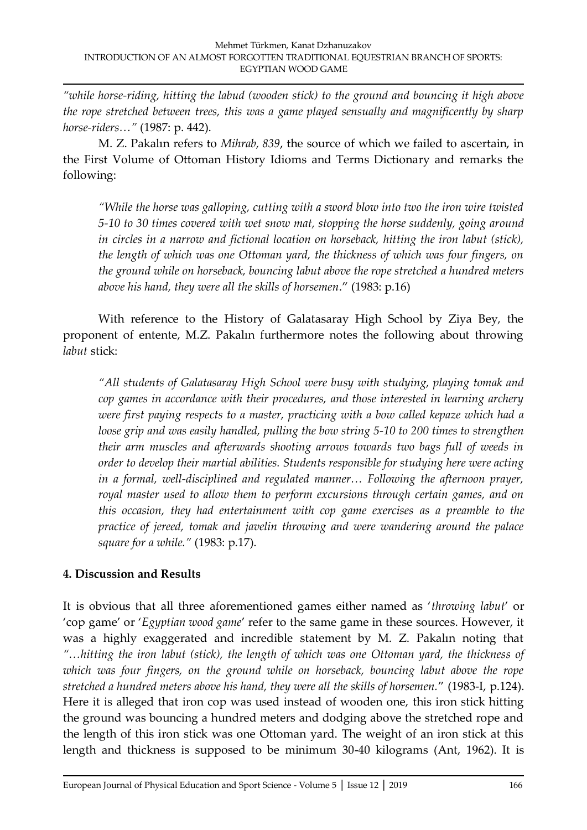*"while horse-riding, hitting the labud (wooden stick) to the ground and bouncing it high above the rope stretched between trees, this was a game played sensually and magnificently by sharp horse-riders…"* (1987: p. 442).

M. Z. Pakalın refers to *Mihrab, 839*, the source of which we failed to ascertain, in the First Volume of Ottoman History Idioms and Terms Dictionary and remarks the following:

*"While the horse was galloping, cutting with a sword blow into two the iron wire twisted 5-10 to 30 times covered with wet snow mat, stopping the horse suddenly, going around in circles in a narrow and fictional location on horseback, hitting the iron labut (stick), the length of which was one Ottoman yard, the thickness of which was four fingers, on the ground while on horseback, bouncing labut above the rope stretched a hundred meters above his hand, they were all the skills of horsemen*." (1983: p.16)

With reference to the History of Galatasaray High School by Ziya Bey, the proponent of entente, M.Z. Pakalın furthermore notes the following about throwing *labut* stick:

*"All students of Galatasaray High School were busy with studying, playing tomak and cop games in accordance with their procedures, and those interested in learning archery were first paying respects to a master, practicing with a bow called kepaze which had a loose grip and was easily handled, pulling the bow string 5-10 to 200 times to strengthen their arm muscles and afterwards shooting arrows towards two bags full of weeds in order to develop their martial abilities. Students responsible for studying here were acting in a formal, well-disciplined and regulated manner… Following the afternoon prayer, royal master used to allow them to perform excursions through certain games, and on this occasion, they had entertainment with cop game exercises as a preamble to the practice of jereed, tomak and javelin throwing and were wandering around the palace square for a while."* (1983: p.17).

# **4. Discussion and Results**

It is obvious that all three aforementioned games either named as '*throwing labut*' or 'cop game' or '*Egyptian wood game*' refer to the same game in these sources. However, it was a highly exaggerated and incredible statement by M. Z. Pakalın noting that *"…hitting the iron labut (stick), the length of which was one Ottoman yard, the thickness of which was four fingers, on the ground while on horseback, bouncing labut above the rope stretched a hundred meters above his hand, they were all the skills of horsemen.*" (1983-I, p.124). Here it is alleged that iron cop was used instead of wooden one, this iron stick hitting the ground was bouncing a hundred meters and dodging above the stretched rope and the length of this iron stick was one Ottoman yard. The weight of an iron stick at this length and thickness is supposed to be minimum 30-40 kilograms (Ant, 1962). It is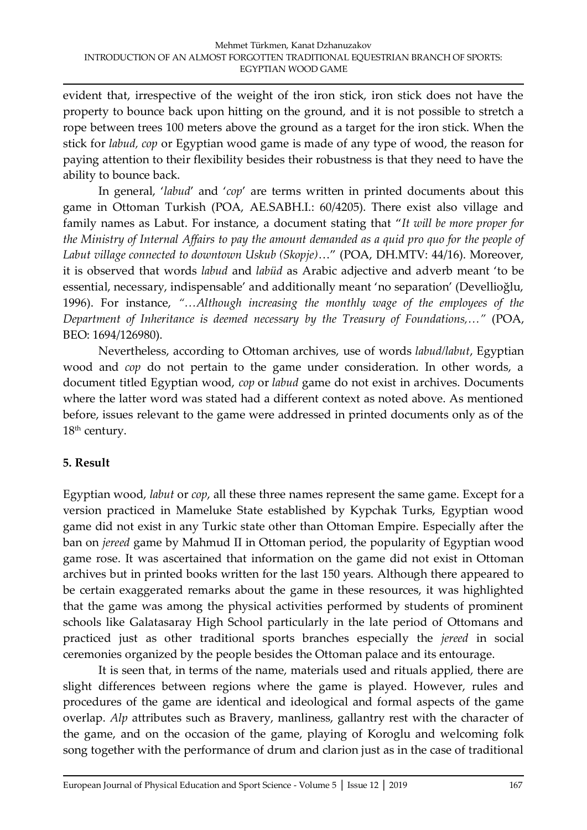evident that, irrespective of the weight of the iron stick, iron stick does not have the property to bounce back upon hitting on the ground, and it is not possible to stretch a rope between trees 100 meters above the ground as a target for the iron stick. When the stick for *labud, cop* or Egyptian wood game is made of any type of wood, the reason for paying attention to their flexibility besides their robustness is that they need to have the ability to bounce back.

In general, '*labud*' and '*cop*' are terms written in printed documents about this game in Ottoman Turkish (POA, AE.SABH.I.: 60/4205). There exist also village and family names as Labut. For instance, a document stating that "*It will be more proper for the Ministry of Internal Affairs to pay the amount demanded as a quid pro quo for the people of Labut village connected to downtown Uskub (Skopje)*…" (POA, DH.MTV: 44/16). Moreover, it is observed that words *labud* and *labüd* as Arabic adjective and adverb meant 'to be essential, necessary, indispensable' and additionally meant 'no separation' (Devellioğlu, 1996). For instance, *"…Although increasing the monthly wage of the employees of the Department of Inheritance is deemed necessary by the Treasury of Foundations,…"* (POA, BEO: 1694/126980).

Nevertheless, according to Ottoman archives, use of words *labud/labut*, Egyptian wood and *cop* do not pertain to the game under consideration. In other words, a document titled Egyptian wood, *cop* or *labud* game do not exist in archives. Documents where the latter word was stated had a different context as noted above. As mentioned before, issues relevant to the game were addressed in printed documents only as of the 18<sup>th</sup> century.

#### **5. Result**

Egyptian wood, *labut* or *cop*, all these three names represent the same game. Except for a version practiced in Mameluke State established by Kypchak Turks, Egyptian wood game did not exist in any Turkic state other than Ottoman Empire. Especially after the ban on *jereed* game by Mahmud II in Ottoman period, the popularity of Egyptian wood game rose. It was ascertained that information on the game did not exist in Ottoman archives but in printed books written for the last 150 years. Although there appeared to be certain exaggerated remarks about the game in these resources, it was highlighted that the game was among the physical activities performed by students of prominent schools like Galatasaray High School particularly in the late period of Ottomans and practiced just as other traditional sports branches especially the *jereed* in social ceremonies organized by the people besides the Ottoman palace and its entourage.

It is seen that, in terms of the name, materials used and rituals applied, there are slight differences between regions where the game is played. However, rules and procedures of the game are identical and ideological and formal aspects of the game overlap. *Alp* attributes such as Bravery, manliness, gallantry rest with the character of the game, and on the occasion of the game, playing of Koroglu and welcoming folk song together with the performance of drum and clarion just as in the case of traditional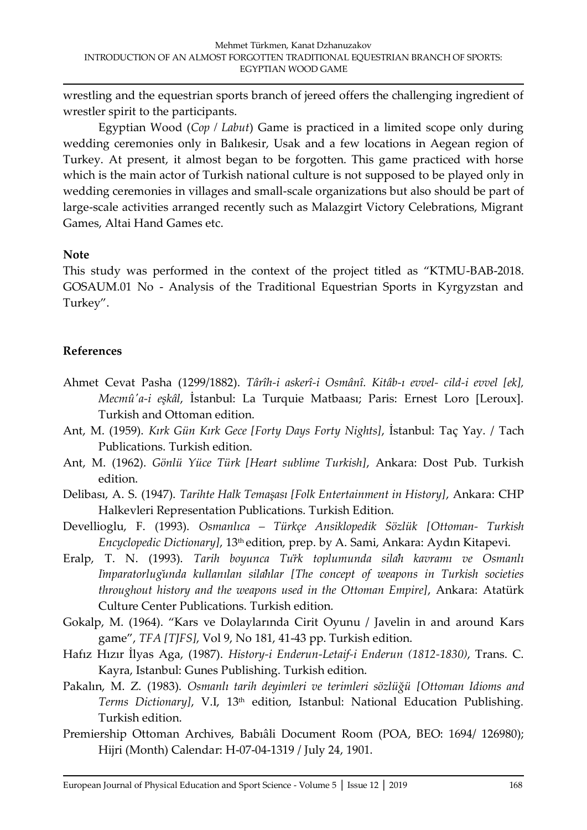wrestling and the equestrian sports branch of jereed offers the challenging ingredient of wrestler spirit to the participants.

Egyptian Wood (*Cop / Labut*) Game is practiced in a limited scope only during wedding ceremonies only in Balıkesir, Usak and a few locations in Aegean region of Turkey. At present, it almost began to be forgotten. This game practiced with horse which is the main actor of Turkish national culture is not supposed to be played only in wedding ceremonies in villages and small-scale organizations but also should be part of large-scale activities arranged recently such as Malazgirt Victory Celebrations, Migrant Games, Altai Hand Games etc.

#### **Note**

This study was performed in the context of the project titled as "KTMU-BAB-2018. GOSAUM.01 No - Analysis of the Traditional Equestrian Sports in Kyrgyzstan and Turkey".

### **References**

- Ahmet Cevat Pasha (1299/1882). *Târîh-i askerî-i Osmânî. Kitâb-ı evvel- cild-i evvel [ek], Mecmû'a-i eşkâl*, İstanbul: La Turquie Matbaası; Paris: Ernest Loro [Leroux]. Turkish and Ottoman edition.
- Ant, M. (1959). *Kırk Gün Kırk Gece [Forty Days Forty Nights]*, İstanbul: Taç Yay. / Tach Publications. Turkish edition.
- Ant, M. (1962). *Gönlü Yüce Türk [Heart sublime Turkish]*, Ankara: Dost Pub. Turkish edition.
- Delibası, A. S. (1947). *Tarihte Halk Temaşası [Folk Entertainment in History]*, Ankara: CHP Halkevleri Representation Publications. Turkish Edition.
- Devellioglu, F. (1993). *Osmanlıca – Türkçe Ansiklopedik Sözlük [Ottoman- Turkish Encyclopedic Dictionary]*, 13th edition, prep. by A. Sami, Ankara: Aydın Kitapevi.
- Eralp, T. N. (1993). *Tarih boyunca Türk toplumunda silâh kavramı ve Osmanlı İmparatorluğunda kullanılan silâhlar [The concept of weapons in Turkish societies throughout history and the weapons used in the Ottoman Empire]*, Ankara: Atatürk Culture Center Publications. Turkish edition.
- Gokalp, M. (1964). "Kars ve Dolaylarında Cirit Oyunu / Javelin in and around Kars game", *TFA [TJFS]*, Vol 9, No 181, 41-43 pp. Turkish edition.
- Hafız Hızır İlyas Aga, (1987). *History-i Enderun-Letaif-i Enderun (1812-1830)*, Trans. C. Kayra, Istanbul: Gunes Publishing. Turkish edition.
- Pakalın, M. Z. (1983). *Osmanlı tarih deyimleri ve terimleri sözlüğü [Ottoman Idioms and*  Terms Dictionary], V.I, 13<sup>th</sup> edition, Istanbul: National Education Publishing. Turkish edition.
- Premiership Ottoman Archives, Babıâli Document Room (POA, BEO: 1694/ 126980); Hijri (Month) Calendar: H-07-04-1319 / July 24, 1901.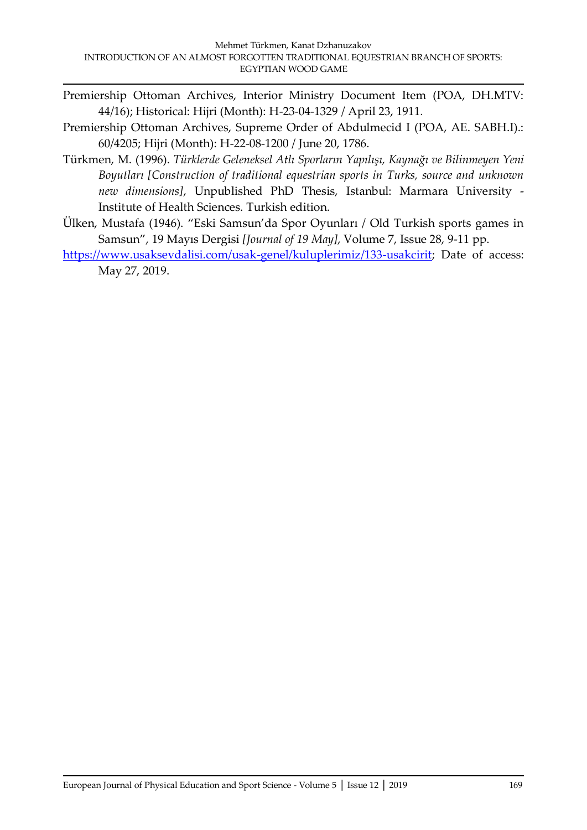- Premiership Ottoman Archives, Interior Ministry Document Item (POA, DH.MTV: 44/16); Historical: Hijri (Month): H-23-04-1329 / April 23, 1911.
- Premiership Ottoman Archives, Supreme Order of Abdulmecid I (POA, AE. SABH.I).: 60/4205; Hijri (Month): H-22-08-1200 / June 20, 1786.
- Türkmen, M. (1996). *Türklerde Geleneksel Atlı Sporların Yapılışı, Kaynağı ve Bilinmeyen Yeni Boyutları [Construction of traditional equestrian sports in Turks, source and unknown new dimensions]*, Unpublished PhD Thesis, Istanbul: Marmara University - Institute of Health Sciences. Turkish edition.
- Ülken, Mustafa (1946). "Eski Samsun'da Spor Oyunları / Old Turkish sports games in Samsun", 19 Mayıs Dergisi *[Journal of 19 May]*, Volume 7, Issue 28, 9-11 pp.
- [https://www.usaksevdalisi.com/usak-genel/kuluplerimiz/133-usakcirit;](https://www.usaksevdalisi.com/usak-genel/kuluplerimiz/133-usakcirit) Date of access: May 27, 2019.